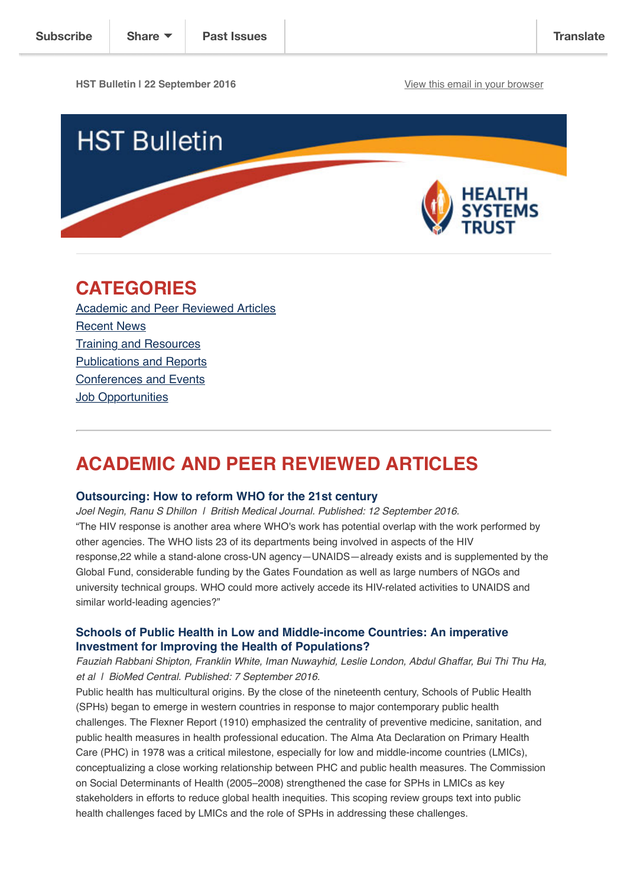**HST Bulletin | 22 September 2016** [View this email in your browser](http://us14.campaign-archive1.com/?u=72d7614ab973e486252cafb97&id=5ae534c62d&e=%5BUNIQID%5D)



# **CATEGORIES**

[Academic and Peer Reviewed Articles](http://us14.campaign-archive2.com/?u=72d7614ab973e486252cafb97&id=5ae534c62d#Academic) [Recent News](http://us14.campaign-archive2.com/?u=72d7614ab973e486252cafb97&id=5ae534c62d#Recent) [Training and Resources](http://us14.campaign-archive2.com/?u=72d7614ab973e486252cafb97&id=5ae534c62d#Training) [Publications and Reports](http://us14.campaign-archive2.com/?u=72d7614ab973e486252cafb97&id=5ae534c62d#Books) [Conferences and Events](http://us14.campaign-archive2.com/?u=72d7614ab973e486252cafb97&id=5ae534c62d#Conferences) **[Job Opportunities](http://us14.campaign-archive2.com/?u=72d7614ab973e486252cafb97&id=5ae534c62d#Job%20Opportunities)** 

# **ACADEMIC AND PEER REVIEWED ARTICLES**

#### **[Outsourcing: How to reform WHO for the 21st century](http://gh.bmj.com/content/1/2/e000047)**

*Joel Negin, Ranu S Dhillon | British Medical Journal. Published: 12 September 2016.* "The HIV response is another area where WHO's work has potential overlap with the work performed by other agencies. The WHO lists 23 of its departments being involved in aspects of the HIV response,22 while a stand-alone cross-UN agency—UNAIDS—already exists and is supplemented by the Global Fund, considerable funding by the Gates Foundation as well as large numbers of NGOs and university technical groups. WHO could more actively accede its HIV-related activities to UNAIDS and similar world-leading agencies?"

## **[Schools of Public Health in Low and Middle-income Countries: An imperative](https://bmcpublichealth.biomedcentral.com/articles/10.1186/s12889-016-3616-6) Investment for Improving the Health of Populations?**

*Fauziah Rabbani Shipton, Franklin White, Iman Nuwayhid, Leslie London, Abdul Ghaffar, Bui Thi Thu Ha, et al | BioMed Central. Published: 7 September 2016.*

Public health has multicultural origins. By the close of the nineteenth century, Schools of Public Health (SPHs) began to emerge in western countries in response to major contemporary public health challenges. The Flexner Report (1910) emphasized the centrality of preventive medicine, sanitation, and public health measures in health professional education. The Alma Ata Declaration on Primary Health Care (PHC) in 1978 was a critical milestone, especially for low and middle-income countries (LMICs), conceptualizing a close working relationship between PHC and public health measures. The Commission on Social Determinants of Health (2005–2008) strengthened the case for SPHs in LMICs as key stakeholders in efforts to reduce global health inequities. This scoping review groups text into public health challenges faced by LMICs and the role of SPHs in addressing these challenges.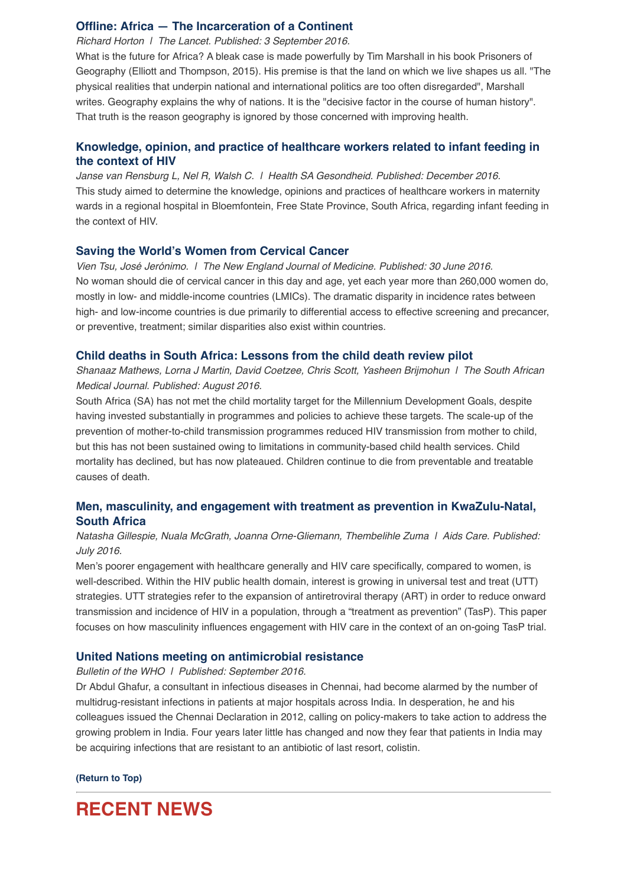## **[Offline: Africa — The Incarceration of a Continent](http://www.thelancet.com/journals/lancet/article/PIIS0140-6736(16)31531-8/fulltext)**

*Richard Horton | The Lancet. Published: 3 September 2016.*

What is the future for Africa? A bleak case is made powerfully by Tim Marshall in his book Prisoners of Geography (Elliott and Thompson, 2015). His premise is that the land on which we live shapes us all. "The physical realities that underpin national and international politics are too often disregarded", Marshall writes. Geography explains the why of nations. It is the "decisive factor in the course of human history". That truth is the reason geography is ignored by those concerned with improving health.

## **[Knowledge, opinion, and practice of healthcare workers related to infant feeding in](http://www.sciencedirect.com/science/article/pii/S1025984815000368) the context of HIV**

*Janse van Rensburg L, Nel R, Walsh C. | Health SA Gesondheid. Published: December 2016.* This study aimed to determine the knowledge, opinions and practices of healthcare workers in maternity wards in a regional hospital in Bloemfontein, Free State Province, South Africa, regarding infant feeding in the context of HIV.

#### **[Saving the World's Women from Cervical Cancer](http://www.nejm.org/doi/full/10.1056/NEJMp1604113)**

*Vien Tsu, José Jerónimo. | The New England Journal of Medicine. Published: 30 June 2016.* No woman should die of cervical cancer in this day and age, yet each year more than 260,000 women do, mostly in low- and middle-income countries (LMICs). The dramatic disparity in incidence rates between high- and low-income countries is due primarily to differential access to effective screening and precancer, or preventive, treatment; similar disparities also exist within countries.

#### **[Child deaths in South Africa: Lessons from the child death review pilot](http://www.samj.org.za/index.php/samj/article/view/11382/7581)**

*Shanaaz Mathews, Lorna J Martin, David Coetzee, Chris Scott, Yasheen Brijmohun | The South African Medical Journal. Published: August 2016.*

South Africa (SA) has not met the child mortality target for the Millennium Development Goals, despite having invested substantially in programmes and policies to achieve these targets. The scale-up of the prevention of mother-to-child transmission programmes reduced HIV transmission from mother to child, but this has not been sustained owing to limitations in community-based child health services. Child mortality has declined, but has now plateaued. Children continue to die from preventable and treatable causes of death.

## **[Men, masculinity, and engagement with treatment as prevention in KwaZulu-Natal,](http://www.tandfonline.com/doi/full/10.1080/09540121.2016.1178953) South Africa**

## *Natasha Gillespie, Nuala McGrath, Joanna Orne-Gliemann, Thembelihle Zuma | Aids Care. Published: July 2016.*

Men's poorer engagement with healthcare generally and HIV care specifically, compared to women, is well-described. Within the HIV public health domain, interest is growing in universal test and treat (UTT) strategies. UTT strategies refer to the expansion of antiretroviral therapy (ART) in order to reduce onward transmission and incidence of HIV in a population, through a "treatment as prevention" (TasP). This paper focuses on how masculinity influences engagement with HIV care in the context of an on-going TasP trial.

#### **[United Nations meeting on antimicrobial resistance](http://www.who.int/bulletin/volumes/94/9/16-020916/en/)**

#### *Bulletin of the WHO | Published: September 2016.*

Dr Abdul Ghafur, a consultant in infectious diseases in Chennai, had become alarmed by the number of multidrug-resistant infections in patients at major hospitals across India. In desperation, he and his colleagues issued the Chennai Declaration in 2012, calling on policy-makers to take action to address the growing problem in India. Four years later little has changed and now they fear that patients in India may be acquiring infections that are resistant to an antibiotic of last resort, colistin.

**[\(Return to Top\)](http://us14.campaign-archive2.com/?u=72d7614ab973e486252cafb97&id=5ae534c62d#Top)**

# **RECENT NEWS**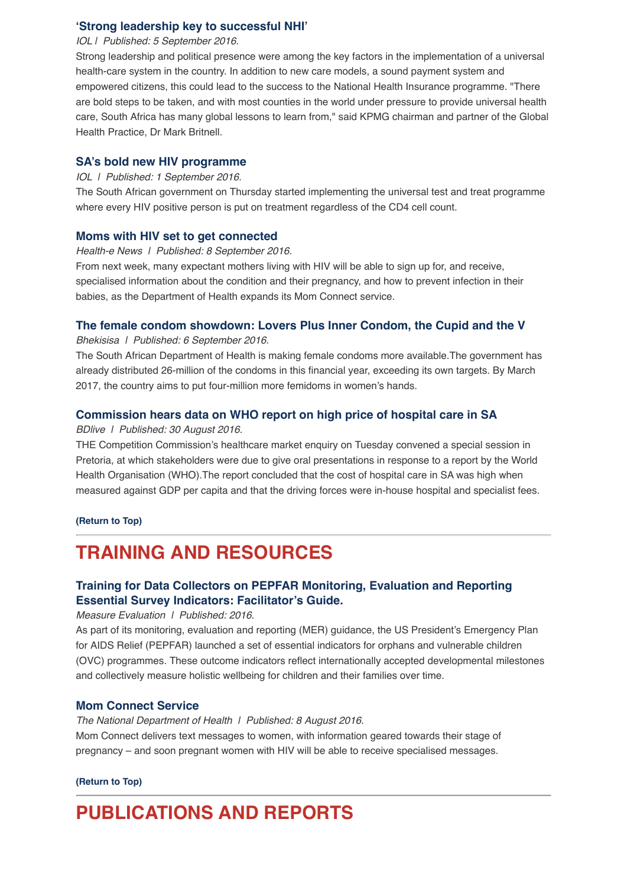### **['Strong leadership key to successful NHI'](http://www.iol.co.za/business/news/strong-leadership-key-to-successful-nhi-2064514)**

#### *IOL | Published: 5 September 2016.*

Strong leadership and political presence were among the key factors in the implementation of a universal health-care system in the country. In addition to new care models, a sound payment system and empowered citizens, this could lead to the success to the National Health Insurance programme. "There are bold steps to be taken, and with most counties in the world under pressure to provide universal health care, South Africa has many global lessons to learn from," said KPMG chairman and partner of the Global Health Practice, Dr Mark Britnell.

#### **[SA's bold new HIV programme](http://www.iol.co.za/news/south-africa/sas-bold-new-hiv-programme-2063492)**

#### *IOL | Published: 1 September 2016.*

The South African government on Thursday started implementing the universal test and treat programme where every HIV positive person is put on treatment regardless of the CD4 cell count.

#### **[Moms with HIV set to get connected](https://www.health-e.org.za/2016/09/08/moms-hiv-set-get-connected/)**

*Health-e News | Published: 8 September 2016.*

From next week, many expectant mothers living with HIV will be able to sign up for, and receive, specialised information about the condition and their pregnancy, and how to prevent infection in their babies, as the Department of Health expands its Mom Connect service.

## **[The female condom showdown: Lovers Plus Inner Condom, the Cupid and the V](http://bhekisisa.org/article/2016-09-06-the-female-condom-showdown-lovers-plus-inner-condom-the-cupid-and-the-v)**

*Bhekisisa | Published: 6 September 2016.*

The South African Department of Health is making female condoms more available.The government has already distributed 26-million of the condoms in this financial year, exceeding its own targets. By March 2017, the country aims to put four-million more femidoms in women's hands.

# **[Commission hears data on WHO report on high price of hospital care in SA](http://www.bdlive.co.za/business/healthcare/2016/08/30/commission-hears-data-on-who-report-on-high-price-of-hospital-care-in-sa)**

#### *BDlive | Published: 30 August 2016.*

THE Competition Commission's healthcare market enquiry on Tuesday convened a special session in Pretoria, at which stakeholders were due to give oral presentations in response to a report by the World Health Organisation (WHO).The report concluded that the cost of hospital care in SA was high when measured against GDP per capita and that the driving forces were in-house hospital and specialist fees.

**[\(Return to Top\)](http://us14.campaign-archive2.com/?u=72d7614ab973e486252cafb97&id=5ae534c62d#Top)**

# **TRAINING AND RESOURCES**

# **[Training for Data Collectors on PEPFAR Monitoring, Evaluation and Reporting](http://www.cpc.unc.edu/measure/resources/publications/sr-16-133/folder_contents) Essential Survey Indicators: Facilitator's Guide.**

*Measure Evaluation | Published: 2016.*

As part of its monitoring, evaluation and reporting (MER) guidance, the US President's Emergency Plan for AIDS Relief (PEPFAR) launched a set of essential indicators for orphans and vulnerable children (OVC) programmes. These outcome indicators reflect internationally accepted developmental milestones and collectively measure holistic wellbeing for children and their families over time.

#### **[Mom Connect Service](http://www.health.gov.za/index.php/mom-connect)**

*The National Department of Health | Published: 8 August 2016.* Mom Connect delivers text messages to women, with information geared towards their stage of pregnancy – and soon pregnant women with HIV will be able to receive specialised messages.

**[\(Return to Top\)](http://us14.campaign-archive2.com/?u=72d7614ab973e486252cafb97&id=5ae534c62d#Top)**

# **PUBLICATIONS AND REPORTS**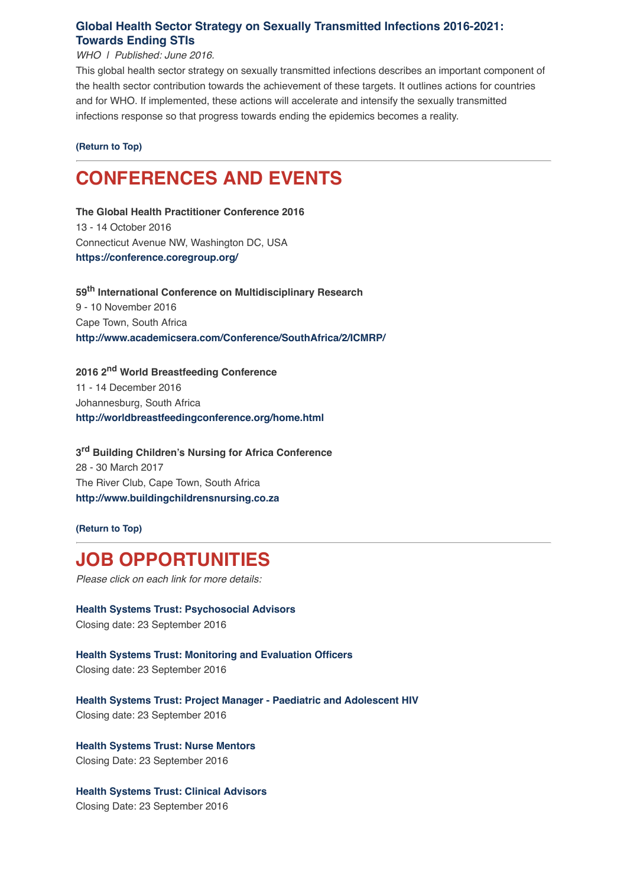# **[Global Health Sector Strategy on Sexually Transmitted Infections 2016-2021:](http://www.who.int/hiv/strategy2016-2021/en/) Towards Ending STIs**

#### *WHO | Published: June 2016.*

This global health sector strategy on sexually transmitted infections describes an important component of the health sector contribution towards the achievement of these targets. It outlines actions for countries and for WHO. If implemented, these actions will accelerate and intensify the sexually transmitted infections response so that progress towards ending the epidemics becomes a reality.

#### **[\(Return to Top\)](http://us14.campaign-archive2.com/?u=72d7614ab973e486252cafb97&id=5ae534c62d#Top)**

# **CONFERENCES AND EVENTS**

**The Global Health Practitioner Conference 2016** 13 - 14 October 2016 Connecticut Avenue NW, Washington DC, USA **<https://conference.coregroup.org/>**

**59th International Conference on Multidisciplinary Research** 9 - 10 November 2016 Cape Town, South Africa **<http://www.academicsera.com/Conference/SouthAfrica/2/ICMRP/>**

**2016 2nd World Breastfeeding Conference** 11 - 14 December 2016 Johannesburg, South Africa **<http://worldbreastfeedingconference.org/home.html>**

**3rd Building Children's Nursing for Africa Conference** 28 - 30 March 2017 The River Club, Cape Town, South Africa **[http://www.buildingchildrensnursing.co.za](http://www.buildingchildrensnursing.co.za/)**

**[\(Return to Top\)](http://us14.campaign-archive2.com/?u=72d7614ab973e486252cafb97&id=5ae534c62d#Top)**

# **JOB OPPORTUNITIES**

*Please click on each link for more details:*

**[Health Systems Trust: Psychosocial Advisors](http://www.hst.org.za/jobs/psychosocial-advisors)** Closing date: 23 September 2016

**[Health Systems Trust: Monitoring and Evaluation Officers](http://www.hst.org.za/jobs/monitoring-and-evaluation-officers)** Closing date: 23 September 2016

**[Health Systems Trust: Project Manager - Paediatric and Adolescent HIV](http://www.hst.org.za/jobs/project-manager-paediatric-and-adolescent-hiv)** Closing date: 23 September 2016

**[Health Systems Trust: Nurse Mentors](http://www.hst.org.za/jobs/nurse-mentors)** Closing Date: 23 September 2016

**[Health Systems Trust: Clinical Advisors](http://www.hst.org.za/jobs/clinical-advisors)** Closing Date: 23 September 2016